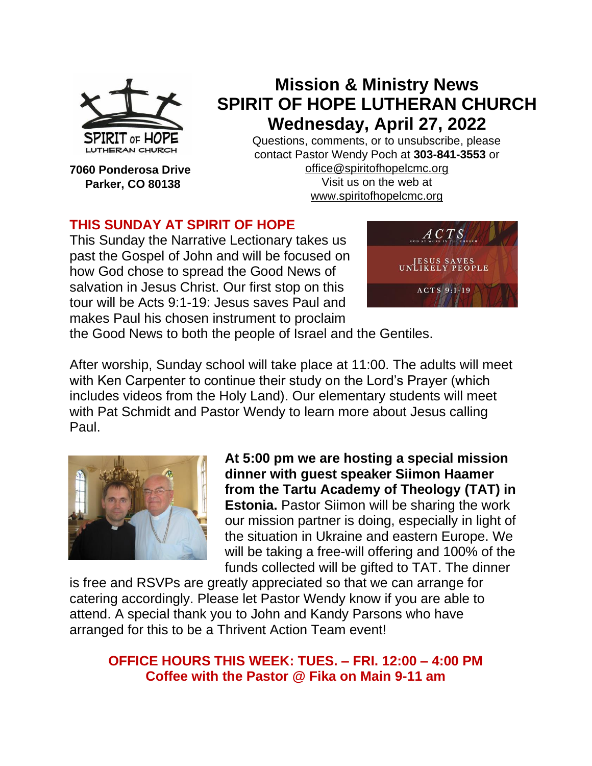

**7060 Ponderosa Drive Parker, CO 80138**

**Mission & Ministry News SPIRIT OF HOPE LUTHERAN CHURCH Wednesday, April 27, 2022**

Questions, comments, or to unsubscribe, please contact Pastor Wendy Poch at **303-841-3553** or [office@spiritofhopelcmc.org](mailto:office@spiritofhopelcmc.org) Visit us on the web at

[www.spiritofhopelcmc.org](http://www.spiritofhopelcmc.org/)

# **THIS SUNDAY AT SPIRIT OF HOPE**

This Sunday the Narrative Lectionary takes us past the Gospel of John and will be focused on how God chose to spread the Good News of salvation in Jesus Christ. Our first stop on this tour will be Acts 9:1-19: Jesus saves Paul and makes Paul his chosen instrument to proclaim



the Good News to both the people of Israel and the Gentiles.

After worship, Sunday school will take place at 11:00. The adults will meet with Ken Carpenter to continue their study on the Lord's Prayer (which includes videos from the Holy Land). Our elementary students will meet with Pat Schmidt and Pastor Wendy to learn more about Jesus calling Paul.



**At 5:00 pm we are hosting a special mission dinner with guest speaker Siimon Haamer from the Tartu Academy of Theology (TAT) in Estonia.** Pastor Siimon will be sharing the work our mission partner is doing, especially in light of the situation in Ukraine and eastern Europe. We will be taking a free-will offering and 100% of the funds collected will be gifted to TAT. The dinner

is free and RSVPs are greatly appreciated so that we can arrange for catering accordingly. Please let Pastor Wendy know if you are able to attend. A special thank you to John and Kandy Parsons who have arranged for this to be a Thrivent Action Team event!

# **OFFICE HOURS THIS WEEK: TUES. – FRI. 12:00 – 4:00 PM Coffee with the Pastor @ Fika on Main 9-11 am**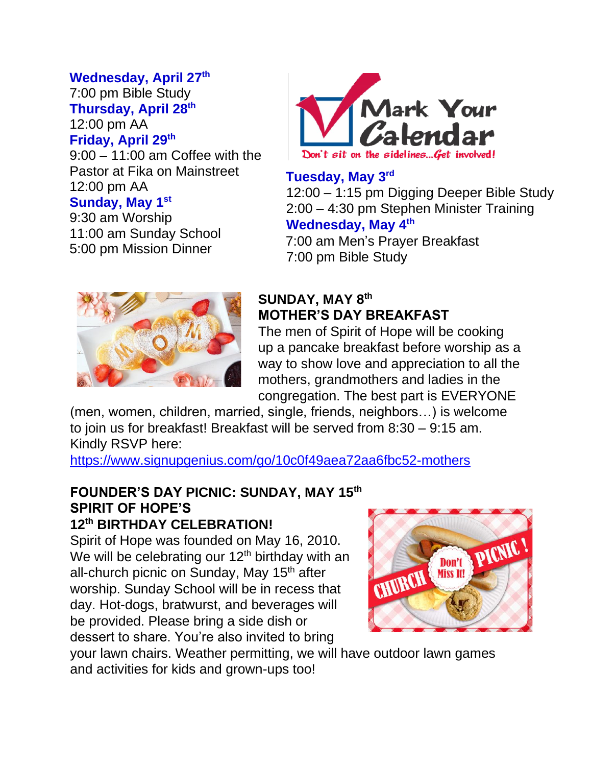# **Wednesday, April 27 th**

7:00 pm Bible Study **Thursday, April 28th** 12:00 pm AA **Friday, April 29th** 

9:00 – 11:00 am Coffee with the Pastor at Fika on Mainstreet 12:00 pm AA

# **Sunday, May 1st**

9:30 am Worship 11:00 am Sunday School 5:00 pm Mission Dinner



**Tuesday, May 3rd**

12:00 – 1:15 pm Digging Deeper Bible Study 2:00 – 4:30 pm Stephen Minister Training **Wednesday, May 4th**

7:00 am Men's Prayer Breakfast 7:00 pm Bible Study



# **SUNDAY, MAY 8th MOTHER'S DAY BREAKFAST**

The men of Spirit of Hope will be cooking up a pancake breakfast before worship as a way to show love and appreciation to all the mothers, grandmothers and ladies in the congregation. The best part is EVERYONE

(men, women, children, married, single, friends, neighbors…) is welcome to join us for breakfast! Breakfast will be served from 8:30 – 9:15 am. Kindly RSVP here:

<https://www.signupgenius.com/go/10c0f49aea72aa6fbc52-mothers>

### **FOUNDER'S DAY PICNIC: SUNDAY, MAY 15th SPIRIT OF HOPE'S 12th BIRTHDAY CELEBRATION!**

Spirit of Hope was founded on May 16, 2010. We will be celebrating our  $12<sup>th</sup>$  birthday with an all-church picnic on Sunday, May 15<sup>th</sup> after worship. Sunday School will be in recess that day. Hot-dogs, bratwurst, and beverages will be provided. Please bring a side dish or dessert to share. You're also invited to bring



your lawn chairs. Weather permitting, we will have outdoor lawn games and activities for kids and grown-ups too!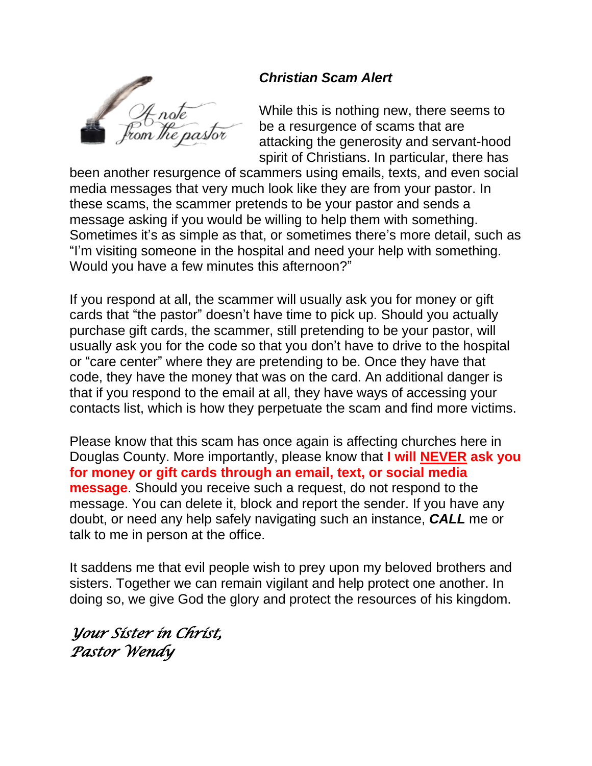

# *Christian Scam Alert*

While this is nothing new, there seems to be a resurgence of scams that are attacking the generosity and servant-hood spirit of Christians. In particular, there has

been another resurgence of scammers using emails, texts, and even social media messages that very much look like they are from your pastor. In these scams, the scammer pretends to be your pastor and sends a message asking if you would be willing to help them with something. Sometimes it's as simple as that, or sometimes there's more detail, such as "I'm visiting someone in the hospital and need your help with something. Would you have a few minutes this afternoon?"

If you respond at all, the scammer will usually ask you for money or gift cards that "the pastor" doesn't have time to pick up. Should you actually purchase gift cards, the scammer, still pretending to be your pastor, will usually ask you for the code so that you don't have to drive to the hospital or "care center" where they are pretending to be. Once they have that code, they have the money that was on the card. An additional danger is that if you respond to the email at all, they have ways of accessing your contacts list, which is how they perpetuate the scam and find more victims.

Please know that this scam has once again is affecting churches here in Douglas County. More importantly, please know that **I will NEVER ask you for money or gift cards through an email, text, or social media message**. Should you receive such a request, do not respond to the message. You can delete it, block and report the sender. If you have any doubt, or need any help safely navigating such an instance, *CALL* me or talk to me in person at the office.

It saddens me that evil people wish to prey upon my beloved brothers and sisters. Together we can remain vigilant and help protect one another. In doing so, we give God the glory and protect the resources of his kingdom.

*Your Sister in Christ, Pastor Wendy*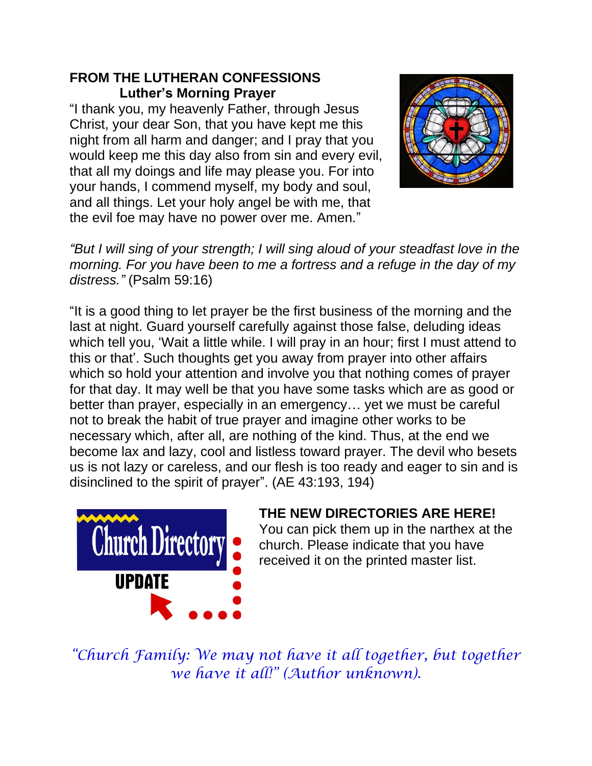# **FROM THE LUTHERAN CONFESSIONS Luther's Morning Prayer**

"I thank you, my heavenly Father, through Jesus Christ, your dear Son, that you have kept me this night from all harm and danger; and I pray that you would keep me this day also from sin and every evil, that all my doings and life may please you. For into your hands, I commend myself, my body and soul, and all things. Let your holy angel be with me, that the evil foe may have no power over me. Amen."



*"But I will sing of your strength; I will sing aloud of your steadfast love in the morning. For you have been to me a fortress and a refuge in the day of my distress."* (Psalm 59:16)

"It is a good thing to let prayer be the first business of the morning and the last at night. Guard yourself carefully against those false, deluding ideas which tell you, 'Wait a little while. I will pray in an hour; first I must attend to this or that'. Such thoughts get you away from prayer into other affairs which so hold your attention and involve you that nothing comes of prayer for that day. It may well be that you have some tasks which are as good or better than prayer, especially in an emergency… yet we must be careful not to break the habit of true prayer and imagine other works to be necessary which, after all, are nothing of the kind. Thus, at the end we become lax and lazy, cool and listless toward prayer. The devil who besets us is not lazy or careless, and our flesh is too ready and eager to sin and is disinclined to the spirit of prayer". (AE 43:193, 194)



# **THE NEW DIRECTORIES ARE HERE!**

You can pick them up in the narthex at the church. Please indicate that you have received it on the printed master list.

*"Church Family: We may not have it all together, but together we have it all!" (Author unknown).*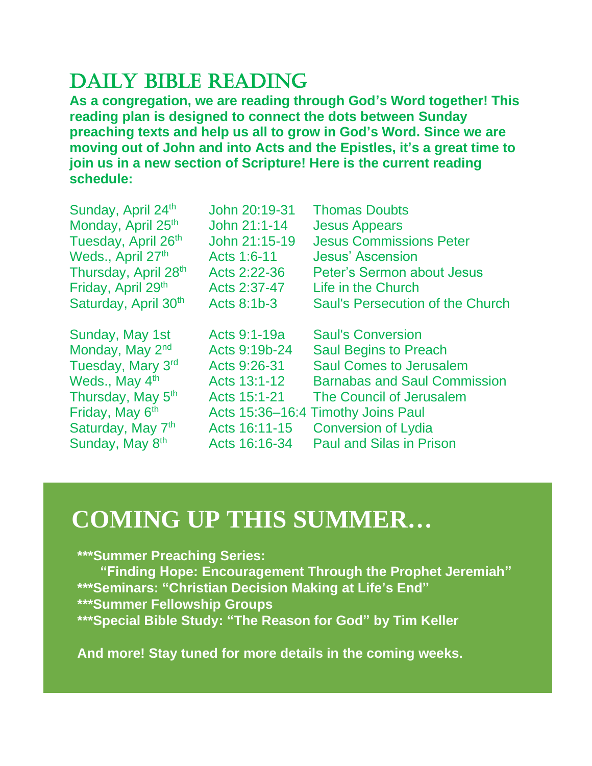# DAILY BIBLE READING

**As a congregation, we are reading through God's Word together! This reading plan is designed to connect the dots between Sunday preaching texts and help us all to grow in God's Word. Since we are moving out of John and into Acts and the Epistles, it's a great time to join us in a new section of Scripture! Here is the current reading schedule:**

| Sunday, April 24th             | John 20:19-31 | <b>Thomas Doubts</b>                    |
|--------------------------------|---------------|-----------------------------------------|
| Monday, April 25 <sup>th</sup> | John 21:1-14  | <b>Jesus Appears</b>                    |
| Tuesday, April 26th            | John 21:15-19 | <b>Jesus Commissions Peter</b>          |
| Weds., April 27th              | Acts 1:6-11   | <b>Jesus' Ascension</b>                 |
| Thursday, April 28th           | Acts 2:22-36  | Peter's Sermon about Jesus              |
| Friday, April 29th             | Acts 2:37-47  | Life in the Church                      |
| Saturday, April 30th           | Acts 8:1b-3   | <b>Saul's Persecution of the Church</b> |
|                                |               |                                         |
|                                |               |                                         |
| Sunday, May 1st                | Acts 9:1-19a  | <b>Saul's Conversion</b>                |
| Monday, May 2 <sup>nd</sup>    | Acts 9:19b-24 | <b>Saul Begins to Preach</b>            |
| Tuesday, Mary 3rd              | Acts 9:26-31  | <b>Saul Comes to Jerusalem</b>          |
| Weds., May 4 <sup>th</sup>     | Acts 13:1-12  | <b>Barnabas and Saul Commission</b>     |
| Thursday, May 5 <sup>th</sup>  | Acts 15:1-21  | The Council of Jerusalem                |
| Friday, May 6 <sup>th</sup>    |               | Acts 15:36-16:4 Timothy Joins Paul      |
| Saturday, May 7 <sup>th</sup>  | Acts 16:11-15 | <b>Conversion of Lydia</b>              |

# **COMING UP THIS SUMMER…**

# **\*\*\*Summer Preaching Series:**

 **"Finding Hope: Encouragement Through the Prophet Jeremiah" \*\*\*Seminars: "Christian Decision Making at Life's End" \*\*\*Summer Fellowship Groups \*\*\*Special Bible Study: "The Reason for God" by Tim Keller**

**And more! Stay tuned for more details in the coming weeks.**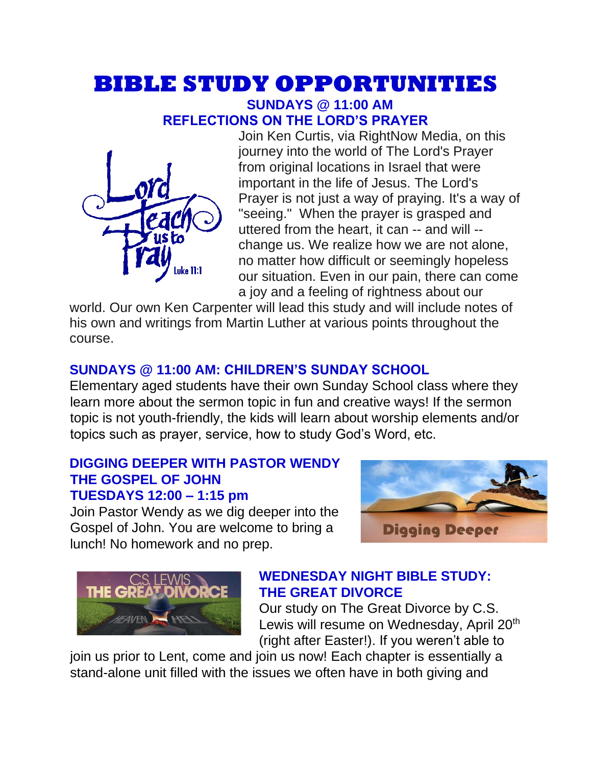# **BIBLE STUDY OPPORTUNITIES**

### **SUNDAYS @ 11:00 AM REFLECTIONS ON THE LORD'S PRAYER**



Join Ken Curtis, via RightNow Media, on this journey into the world of The Lord's Prayer from original locations in Israel that were important in the life of Jesus. The Lord's Prayer is not just a way of praying. It's a way of "seeing." When the prayer is grasped and uttered from the heart, it can -- and will - change us. We realize how we are not alone, no matter how difficult or seemingly hopeless our situation. Even in our pain, there can come a joy and a feeling of rightness about our

world. Our own Ken Carpenter will lead this study and will include notes of his own and writings from Martin Luther at various points throughout the course.

# **SUNDAYS @ 11:00 AM: CHILDREN'S SUNDAY SCHOOL**

Elementary aged students have their own Sunday School class where they learn more about the sermon topic in fun and creative ways! If the sermon topic is not youth-friendly, the kids will learn about worship elements and/or topics such as prayer, service, how to study God's Word, etc.

### **DIGGING DEEPER WITH PASTOR WENDY THE GOSPEL OF JOHN TUESDAYS 12:00 – 1:15 pm**

Join Pastor Wendy as we dig deeper into the Gospel of John. You are welcome to bring a lunch! No homework and no prep.





# **WEDNESDAY NIGHT BIBLE STUDY: THE GREAT DIVORCE**

Our study on The Great Divorce by C.S. Lewis will resume on Wednesday, April 20<sup>th</sup> (right after Easter!). If you weren't able to

join us prior to Lent, come and join us now! Each chapter is essentially a stand-alone unit filled with the issues we often have in both giving and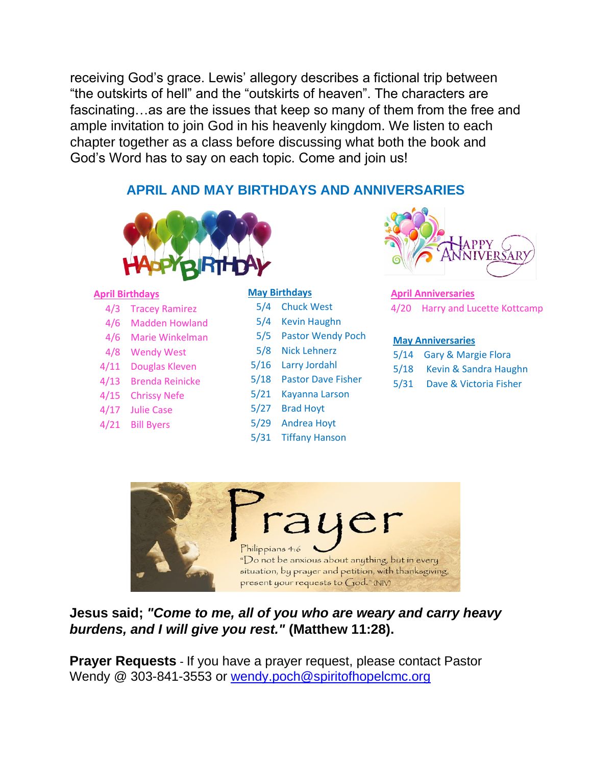receiving God's grace. Lewis' allegory describes a fictional trip between "the outskirts of hell" and the "outskirts of heaven". The characters are fascinating…as are the issues that keep so many of them from the free and ample invitation to join God in his heavenly kingdom. We listen to each chapter together as a class before discussing what both the book and God's Word has to say on each topic. Come and join us!

## **APRIL AND MAY BIRTHDAYS AND ANNIVERSARIES**



#### **April Birthdays**

- 4/3 Tracey Ramirez
- 4/6 Madden Howland
- 4/6 Marie Winkelman
- 4/8 Wendy West
- 4/11 Douglas Kleven
- 4/13 Brenda Reinicke
- 4/15 Chrissy Nefe
- 4/17 Julie Case
- 4/21 Bill Byers

#### **May Birthdays**

- 5/4 Chuck West
- 5/4 Kevin Haughn
- 5/5 Pastor Wendy Poch
- 5/8 Nick Lehnerz
- 5/16 Larry Jordahl
- 5/18 Pastor Dave Fisher
- 5/21 Kayanna Larson
- 5/27 Brad Hoyt
- 5/29 Andrea Hoyt
- 5/31 Tiffany Hanson



#### **April Anniversaries** 4/20 Harry and Lucette Kottcamp

#### **May Anniversaries**

- 5/14 Gary & Margie Flora
- 5/18 Kevin & Sandra Haughn
- 5/31 Dave & Victoria Fisher



**Jesus said;** *"Come to me, all of you who are weary and carry heavy burdens, and I will give you rest."* **(Matthew 11:28).**

**Prayer Requests** - If you have a prayer request, please contact Pastor Wendy @ 303-841-3553 or [wendy.poch@spiritofhopelcmc.org](mailto:wendy.poch@spiritofhopelcmc.org)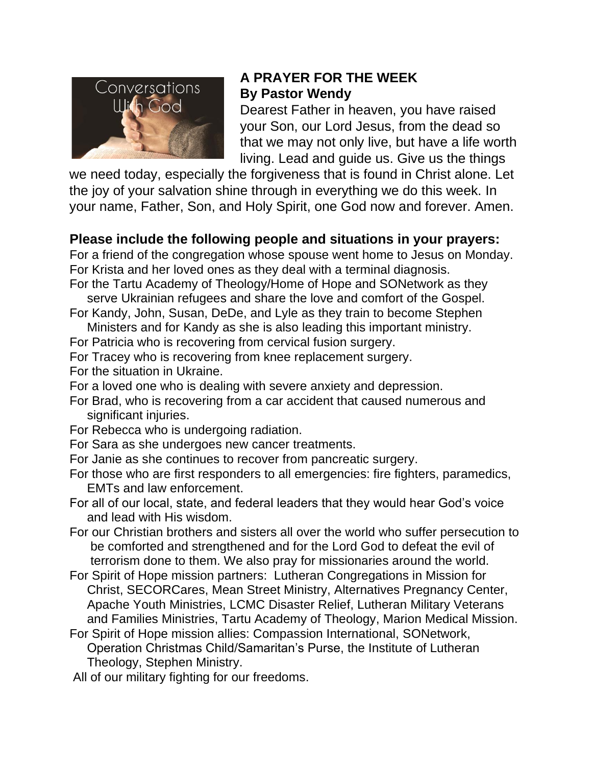

# **A PRAYER FOR THE WEEK By Pastor Wendy**

Dearest Father in heaven, you have raised your Son, our Lord Jesus, from the dead so that we may not only live, but have a life worth living. Lead and guide us. Give us the things

we need today, especially the forgiveness that is found in Christ alone. Let the joy of your salvation shine through in everything we do this week. In your name, Father, Son, and Holy Spirit, one God now and forever. Amen.

# **Please include the following people and situations in your prayers:**

For a friend of the congregation whose spouse went home to Jesus on Monday. For Krista and her loved ones as they deal with a terminal diagnosis.

- For the Tartu Academy of Theology/Home of Hope and SONetwork as they serve Ukrainian refugees and share the love and comfort of the Gospel.
- For Kandy, John, Susan, DeDe, and Lyle as they train to become Stephen Ministers and for Kandy as she is also leading this important ministry.
- For Patricia who is recovering from cervical fusion surgery.
- For Tracey who is recovering from knee replacement surgery.

For the situation in Ukraine.

For a loved one who is dealing with severe anxiety and depression.

- For Brad, who is recovering from a car accident that caused numerous and significant injuries.
- For Rebecca who is undergoing radiation.
- For Sara as she undergoes new cancer treatments.
- For Janie as she continues to recover from pancreatic surgery.
- For those who are first responders to all emergencies: fire fighters, paramedics, EMTs and law enforcement.
- For all of our local, state, and federal leaders that they would hear God's voice and lead with His wisdom.
- For our Christian brothers and sisters all over the world who suffer persecution to be comforted and strengthened and for the Lord God to defeat the evil of terrorism done to them. We also pray for missionaries around the world.
- For Spirit of Hope mission partners: Lutheran Congregations in Mission for Christ, SECORCares, Mean Street Ministry, Alternatives Pregnancy Center, Apache Youth Ministries, LCMC Disaster Relief, Lutheran Military Veterans and Families Ministries, Tartu Academy of Theology, Marion Medical Mission.
- For Spirit of Hope mission allies: Compassion International, SONetwork, Operation Christmas Child/Samaritan's Purse, the Institute of Lutheran Theology, Stephen Ministry.

All of our military fighting for our freedoms.